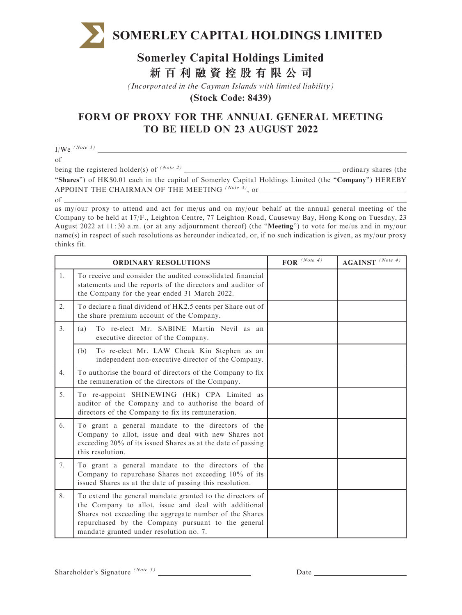

## **Somerley Capital Holdings Limited 新百利融資控股有限公司**

*(Incorporated in the Cayman Islands with limited liability)*

**(Stock Code: 8439)**

## FORM OF PROXY FOR THE ANNUAL GENERAL MEETING TO BE HELD ON 23 AUGUST 2022

 $I/We^{(Note 1)}$ of

being the registered holder(s) of  $(Note 2)$  ordinary shares (the

"Shares") of HK\$0.01 each in the capital of Somerley Capital Holdings Limited (the "Company") HEREBY APPOINT THE CHAIRMAN OF THE MEETING  $^{(Note 3)}$ , or of

as my/our proxy to attend and act for me/us and on my/our behalf at the annual general meeting of the Company to be held at 17/F., Leighton Centre, 77 Leighton Road, Causeway Bay, Hong Kong on Tuesday, 23 August 2022 at 11: 30 a.m. (or at any adjournment thereof) (the ''Meeting'') to vote for me/us and in my/our name(s) in respect of such resolutions as hereunder indicated, or, if no such indication is given, as my/our proxy thinks fit.

| <b>ORDINARY RESOLUTIONS</b> |                                                                                                                                                                                                                                                                               | $\overline{\text{FOR}}^{(Note 4)}$ | $AGAINST$ <sup>(Note 4)</sup> |
|-----------------------------|-------------------------------------------------------------------------------------------------------------------------------------------------------------------------------------------------------------------------------------------------------------------------------|------------------------------------|-------------------------------|
| $1_{\cdot}$                 | To receive and consider the audited consolidated financial<br>statements and the reports of the directors and auditor of<br>the Company for the year ended 31 March 2022.                                                                                                     |                                    |                               |
| 2.                          | To declare a final dividend of HK2.5 cents per Share out of<br>the share premium account of the Company.                                                                                                                                                                      |                                    |                               |
| $\overline{3}$ .            | To re-elect Mr. SABINE Martin Nevil as an<br>(a)<br>executive director of the Company.                                                                                                                                                                                        |                                    |                               |
|                             | To re-elect Mr. LAW Cheuk Kin Stephen as an<br>(b)<br>independent non-executive director of the Company.                                                                                                                                                                      |                                    |                               |
| 4.                          | To authorise the board of directors of the Company to fix<br>the remuneration of the directors of the Company.                                                                                                                                                                |                                    |                               |
| 5.                          | To re-appoint SHINEWING (HK) CPA Limited as<br>auditor of the Company and to authorise the board of<br>directors of the Company to fix its remuneration.                                                                                                                      |                                    |                               |
| 6.                          | To grant a general mandate to the directors of the<br>Company to allot, issue and deal with new Shares not<br>exceeding 20% of its issued Shares as at the date of passing<br>this resolution.                                                                                |                                    |                               |
| 7.                          | To grant a general mandate to the directors of the<br>Company to repurchase Shares not exceeding 10% of its<br>issued Shares as at the date of passing this resolution.                                                                                                       |                                    |                               |
| 8.                          | To extend the general mandate granted to the directors of<br>the Company to allot, issue and deal with additional<br>Shares not exceeding the aggregate number of the Shares<br>repurchased by the Company pursuant to the general<br>mandate granted under resolution no. 7. |                                    |                               |